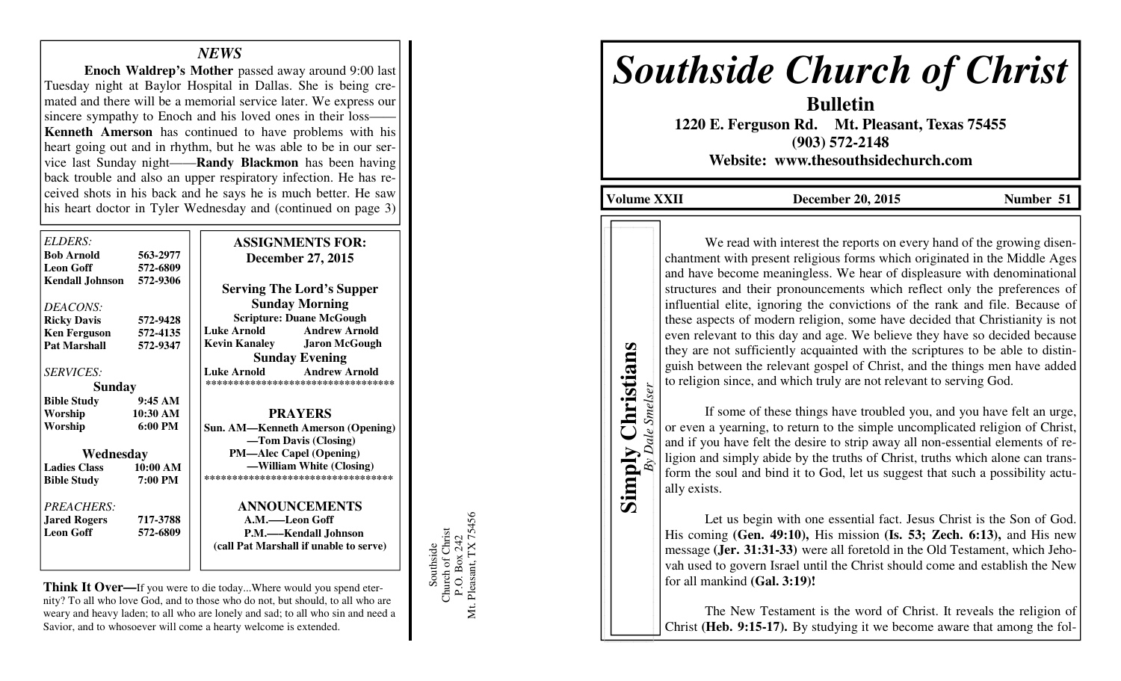# *NEWS*

**Enoch Waldrep's Mother** passed away around 9:00 last Tuesday night at Baylor Hospital in Dallas. She is being cremated and there will be a memorial service later. We express our sincere sympathy to Enoch and his loved ones in their loss- **Kenneth Amerson** has continued to have problems with his heart going out and in rhythm, but he was able to be in our service last Sunday night——**Randy Blackmon** has been having back trouble and also an upper respiratory infection. He has received shots in his back and he says he is much better. He saw his heart doctor in Tyler Wednesday and (continued on page 3)

| ELDERS:             |                   | <b>ASSIGNMENTS FOR:</b>                      |
|---------------------|-------------------|----------------------------------------------|
| <b>Bob Arnold</b>   | 563-2977          | <b>December 27, 2015</b>                     |
| <b>Leon Goff</b>    | 572-6809          |                                              |
| Kendall Johnson     | 572-9306          | <b>Serving The Lord's Supper</b>             |
| DEACONS:            |                   | <b>Sunday Morning</b>                        |
| <b>Ricky Davis</b>  | 572-9428          | <b>Scripture: Duane McGough</b>              |
| <b>Ken Ferguson</b> | 572-4135          | <b>Andrew Arnold</b><br>Luke Arnold          |
| <b>Pat Marshall</b> | 572-9347          | <b>Kevin Kanaley</b><br><b>Jaron McGough</b> |
|                     |                   | <b>Sunday Evening</b>                        |
| <i>SERVICES:</i>    |                   | <b>Andrew Arnold</b><br><b>Luke Arnold</b>   |
| <b>Sunday</b>       |                   | ***********************************          |
| <b>Bible Study</b>  | 9:45AM            |                                              |
| Worship             | 10:30 AM          | <b>PRAYERS</b>                               |
| Worship             | $6:00 \text{ PM}$ | <b>Sun. AM—Kenneth Amerson (Opening)</b>     |
|                     |                   | -Tom Davis (Closing)                         |
| Wednesday           |                   | <b>PM—Alec Capel (Opening)</b>               |
| <b>Ladies Class</b> | 10:00 AM          | -William White (Closing)                     |
| <b>Bible Study</b>  | 7:00 PM           | **********************************           |
| PREACHERS:          |                   | <b>ANNOUNCEMENTS</b>                         |
| <b>Jared Rogers</b> | 717-3788          | A.M.——Leon Goff                              |
| <b>Leon Goff</b>    | 572-6809          | P.M.—Kendall Johnson                         |
|                     |                   | (call Pat Marshall if unable to serve)       |

**Think It Over—**If you were to die today...Where would you spend eternity? To all who love God, and to those who do not, but should, to all who are weary and heavy laden; to all who are lonely and sad; to all who sin and need a Savior, and to whosoever will come a hearty welcome is extended.

Southside<br>Church of Christ<br>P.O. Box 242<br>Mt. Pleasant, TX 75456 Mt. Pleasant, TX 75456 Church of Christ P.O. Box 242 Southside

# *Southside Church of Christ*

**Bulletin 1220 E. Ferguson Rd. Mt. Pleasant, Texas 75455 (903) 572-2148 Website: www.thesouthsidechurch.com** 

Volume XXII **December 20, 2015** Number 51

**Simply Christians**  *By Dale Smelser*

Simply

**Dale Smelser** 

Christians

We read with interest the reports on every hand of the growing disenchantment with present religious forms which originated in the Middle Ages and have become meaningless. We hear of displeasure with denominational structures and their pronouncements which reflect only the preferences of influential elite, ignoring the convictions of the rank and file. Because of these aspects of modern religion, some have decided that Christianity is not even relevant to this day and age. We believe they have so decided because they are not sufficiently acquainted with the scriptures to be able to distinguish between the relevant gospel of Christ, and the things men have added to religion since, and which truly are not relevant to serving God.

 If some of these things have troubled you, and you have felt an urge, or even a yearning, to return to the simple uncomplicated religion of Christ, and if you have felt the desire to strip away all non-essential elements of religion and simply abide by the truths of Christ, truths which alone can transform the soul and bind it to God, let us suggest that such a possibility actually exists.

 Let us begin with one essential fact. Jesus Christ is the Son of God. His coming **(Gen. 49:10),** His mission **(Is. 53; Zech. 6:13),** and His new message **(Jer. 31:31-33)** were all foretold in the Old Testament, which Jehovah used to govern Israel until the Christ should come and establish the New for all mankind **(Gal. 3:19)!** 

The New Testament is the word of Christ. It reveals the religion of Christ **(Heb. 9:15-17).** By studying it we become aware that among the fol-